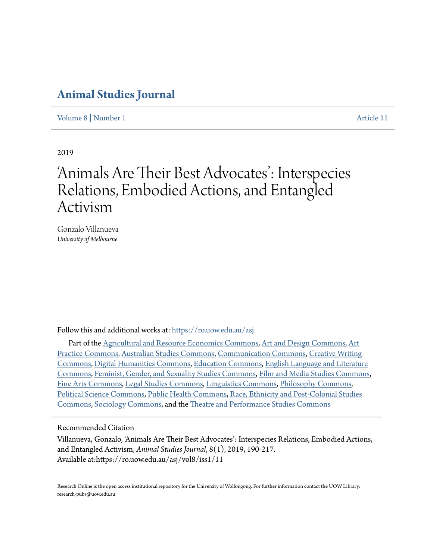# **[Animal Studies Journal](https://ro.uow.edu.au/asj?utm_source=ro.uow.edu.au%2Fasj%2Fvol8%2Fiss1%2F11&utm_medium=PDF&utm_campaign=PDFCoverPages)**

[Volume 8](https://ro.uow.edu.au/asj/vol8?utm_source=ro.uow.edu.au%2Fasj%2Fvol8%2Fiss1%2F11&utm_medium=PDF&utm_campaign=PDFCoverPages) | [Number 1](https://ro.uow.edu.au/asj/vol8/iss1?utm_source=ro.uow.edu.au%2Fasj%2Fvol8%2Fiss1%2F11&utm_medium=PDF&utm_campaign=PDFCoverPages) [Article 11](https://ro.uow.edu.au/asj/vol8/iss1/11?utm_source=ro.uow.edu.au%2Fasj%2Fvol8%2Fiss1%2F11&utm_medium=PDF&utm_campaign=PDFCoverPages)

2019

# 'Animals Are Their Best Advocates': Interspecies Relations, Embodied Actions, and Entangled Activism

Gonzalo Villanueva *University of Melbourne*

Follow this and additional works at: [https://ro.uow.edu.au/asj](https://ro.uow.edu.au/asj?utm_source=ro.uow.edu.au%2Fasj%2Fvol8%2Fiss1%2F11&utm_medium=PDF&utm_campaign=PDFCoverPages)

Part of the [Agricultural and Resource Economics Commons](http://network.bepress.com/hgg/discipline/317?utm_source=ro.uow.edu.au%2Fasj%2Fvol8%2Fiss1%2F11&utm_medium=PDF&utm_campaign=PDFCoverPages), [Art and Design Commons](http://network.bepress.com/hgg/discipline/1049?utm_source=ro.uow.edu.au%2Fasj%2Fvol8%2Fiss1%2F11&utm_medium=PDF&utm_campaign=PDFCoverPages), [Art](http://network.bepress.com/hgg/discipline/509?utm_source=ro.uow.edu.au%2Fasj%2Fvol8%2Fiss1%2F11&utm_medium=PDF&utm_campaign=PDFCoverPages) [Practice Commons](http://network.bepress.com/hgg/discipline/509?utm_source=ro.uow.edu.au%2Fasj%2Fvol8%2Fiss1%2F11&utm_medium=PDF&utm_campaign=PDFCoverPages), [Australian Studies Commons](http://network.bepress.com/hgg/discipline/1020?utm_source=ro.uow.edu.au%2Fasj%2Fvol8%2Fiss1%2F11&utm_medium=PDF&utm_campaign=PDFCoverPages), [Communication Commons](http://network.bepress.com/hgg/discipline/325?utm_source=ro.uow.edu.au%2Fasj%2Fvol8%2Fiss1%2F11&utm_medium=PDF&utm_campaign=PDFCoverPages), [Creative Writing](http://network.bepress.com/hgg/discipline/574?utm_source=ro.uow.edu.au%2Fasj%2Fvol8%2Fiss1%2F11&utm_medium=PDF&utm_campaign=PDFCoverPages) [Commons,](http://network.bepress.com/hgg/discipline/574?utm_source=ro.uow.edu.au%2Fasj%2Fvol8%2Fiss1%2F11&utm_medium=PDF&utm_campaign=PDFCoverPages) [Digital Humanities Commons](http://network.bepress.com/hgg/discipline/1286?utm_source=ro.uow.edu.au%2Fasj%2Fvol8%2Fiss1%2F11&utm_medium=PDF&utm_campaign=PDFCoverPages), [Education Commons](http://network.bepress.com/hgg/discipline/784?utm_source=ro.uow.edu.au%2Fasj%2Fvol8%2Fiss1%2F11&utm_medium=PDF&utm_campaign=PDFCoverPages), [English Language and Literature](http://network.bepress.com/hgg/discipline/455?utm_source=ro.uow.edu.au%2Fasj%2Fvol8%2Fiss1%2F11&utm_medium=PDF&utm_campaign=PDFCoverPages) [Commons,](http://network.bepress.com/hgg/discipline/455?utm_source=ro.uow.edu.au%2Fasj%2Fvol8%2Fiss1%2F11&utm_medium=PDF&utm_campaign=PDFCoverPages) [Feminist, Gender, and Sexuality Studies Commons,](http://network.bepress.com/hgg/discipline/559?utm_source=ro.uow.edu.au%2Fasj%2Fvol8%2Fiss1%2F11&utm_medium=PDF&utm_campaign=PDFCoverPages) [Film and Media Studies Commons,](http://network.bepress.com/hgg/discipline/563?utm_source=ro.uow.edu.au%2Fasj%2Fvol8%2Fiss1%2F11&utm_medium=PDF&utm_campaign=PDFCoverPages) [Fine Arts Commons,](http://network.bepress.com/hgg/discipline/1141?utm_source=ro.uow.edu.au%2Fasj%2Fvol8%2Fiss1%2F11&utm_medium=PDF&utm_campaign=PDFCoverPages) [Legal Studies Commons](http://network.bepress.com/hgg/discipline/366?utm_source=ro.uow.edu.au%2Fasj%2Fvol8%2Fiss1%2F11&utm_medium=PDF&utm_campaign=PDFCoverPages), [Linguistics Commons](http://network.bepress.com/hgg/discipline/371?utm_source=ro.uow.edu.au%2Fasj%2Fvol8%2Fiss1%2F11&utm_medium=PDF&utm_campaign=PDFCoverPages), [Philosophy Commons,](http://network.bepress.com/hgg/discipline/525?utm_source=ro.uow.edu.au%2Fasj%2Fvol8%2Fiss1%2F11&utm_medium=PDF&utm_campaign=PDFCoverPages) [Political Science Commons](http://network.bepress.com/hgg/discipline/386?utm_source=ro.uow.edu.au%2Fasj%2Fvol8%2Fiss1%2F11&utm_medium=PDF&utm_campaign=PDFCoverPages), [Public Health Commons,](http://network.bepress.com/hgg/discipline/738?utm_source=ro.uow.edu.au%2Fasj%2Fvol8%2Fiss1%2F11&utm_medium=PDF&utm_campaign=PDFCoverPages) [Race, Ethnicity and Post-Colonial Studies](http://network.bepress.com/hgg/discipline/566?utm_source=ro.uow.edu.au%2Fasj%2Fvol8%2Fiss1%2F11&utm_medium=PDF&utm_campaign=PDFCoverPages) [Commons,](http://network.bepress.com/hgg/discipline/566?utm_source=ro.uow.edu.au%2Fasj%2Fvol8%2Fiss1%2F11&utm_medium=PDF&utm_campaign=PDFCoverPages) [Sociology Commons](http://network.bepress.com/hgg/discipline/416?utm_source=ro.uow.edu.au%2Fasj%2Fvol8%2Fiss1%2F11&utm_medium=PDF&utm_campaign=PDFCoverPages), and the [Theatre and Performance Studies Commons](http://network.bepress.com/hgg/discipline/552?utm_source=ro.uow.edu.au%2Fasj%2Fvol8%2Fiss1%2F11&utm_medium=PDF&utm_campaign=PDFCoverPages)

## Recommended Citation

Villanueva, Gonzalo, 'Animals Are Their Best Advocates': Interspecies Relations, Embodied Actions, and Entangled Activism, *Animal Studies Journal*, 8(1), 2019, 190-217. Available at:https://ro.uow.edu.au/asj/vol8/iss1/11

Research Online is the open access institutional repository for the University of Wollongong. For further information contact the UOW Library: research-pubs@uow.edu.au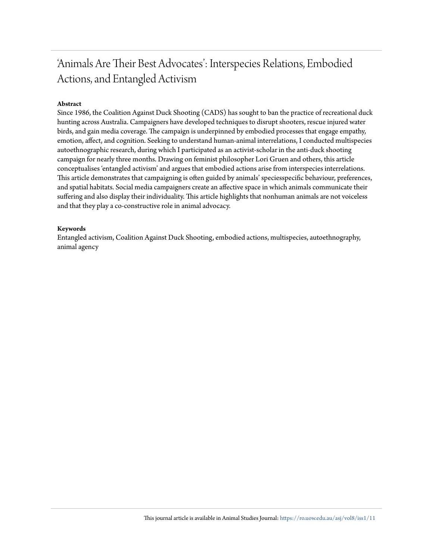# 'Animals Are Their Best Advocates': Interspecies Relations, Embodied Actions, and Entangled Activism

### **Abstract**

Since 1986, the Coalition Against Duck Shooting (CADS) has sought to ban the practice of recreational duck hunting across Australia. Campaigners have developed techniques to disrupt shooters, rescue injured water birds, and gain media coverage. The campaign is underpinned by embodied processes that engage empathy, emotion, affect, and cognition. Seeking to understand human-animal interrelations, I conducted multispecies autoethnographic research, during which I participated as an activist-scholar in the anti-duck shooting campaign for nearly three months. Drawing on feminist philosopher Lori Gruen and others, this article conceptualises 'entangled activism' and argues that embodied actions arise from interspecies interrelations. This article demonstrates that campaigning is often guided by animals' speciesspecific behaviour, preferences, and spatial habitats. Social media campaigners create an affective space in which animals communicate their suffering and also display their individuality. This article highlights that nonhuman animals are not voiceless and that they play a co-constructive role in animal advocacy.

#### **Keywords**

Entangled activism, Coalition Against Duck Shooting, embodied actions, multispecies, autoethnography, animal agency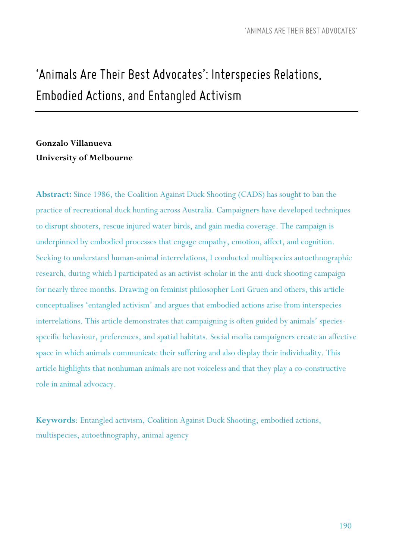# *'Animals Are Their Best Advocates': Interspecies Relations, Embodied Actions, andEntangled Activism*

# **Gonzalo Villanueva University of Melbourne**

**Abstract:** Since 1986, the Coalition Against Duck Shooting (CADS) has sought to ban the practice of recreational duck hunting across Australia. Campaigners have developed techniques to disrupt shooters, rescue injured water birds, and gain media coverage. The campaign is underpinned by embodied processes that engage empathy, emotion, affect, and cognition. Seeking to understand human-animal interrelations, I conducted multispecies autoethnographic research, during which I participated as an activist-scholar in the anti-duck shooting campaign for nearly three months. Drawing on feminist philosopher Lori Gruen and others, this article conceptualises 'entangled activism' and argues that embodied actions arise from interspecies interrelations. This article demonstrates that campaigning is often guided by animals' speciesspecific behaviour, preferences, and spatial habitats. Social media campaigners create an affective space in which animals communicate their suffering and also display their individuality. This article highlights that nonhuman animals are not voiceless and that they play a co-constructive role in animal advocacy.

**Keywords**: Entangled activism, Coalition Against Duck Shooting, embodied actions, multispecies, autoethnography, animal agency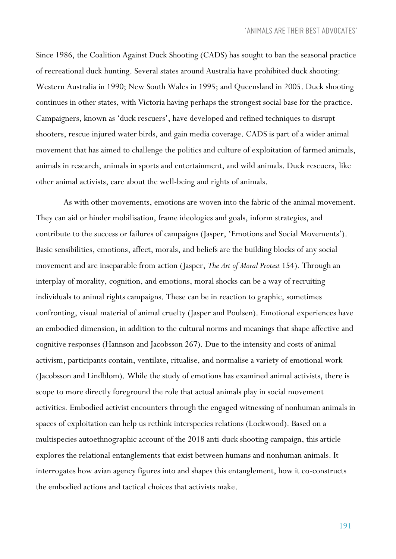Since 1986, the Coalition Against Duck Shooting (CADS) has sought to ban the seasonal practice of recreational duck hunting. Several states around Australia have prohibited duck shooting: Western Australia in 1990; New South Wales in 1995; and Queensland in 2005. Duck shooting continues in other states, with Victoria having perhaps the strongest social base for the practice. Campaigners, known as 'duck rescuers', have developed and refined techniques to disrupt shooters, rescue injured water birds, and gain media coverage. CADS is part of a wider animal movement that has aimed to challenge the politics and culture of exploitation of farmed animals, animals in research, animals in sports and entertainment, and wild animals. Duck rescuers, like other animal activists, care about the well-being and rights of animals.

As with other movements, emotions are woven into the fabric of the animal movement. They can aid or hinder mobilisation, frame ideologies and goals, inform strategies, and contribute to the success or failures of campaigns (Jasper, 'Emotions and Social Movements'). Basic sensibilities, emotions, affect, morals, and beliefs are the building blocks of any social movement and are inseparable from action (Jasper, *The Art of Moral Protest* 154). Through an interplay of morality, cognition, and emotions, moral shocks can be a way of recruiting individuals to animal rights campaigns. These can be in reaction to graphic, sometimes confronting, visual material of animal cruelty (Jasper and Poulsen). Emotional experiences have an embodied dimension, in addition to the cultural norms and meanings that shape affective and cognitive responses (Hannson and Jacobsson 267). Due to the intensity and costs of animal activism, participants contain, ventilate, ritualise, and normalise a variety of emotional work (Jacobsson and Lindblom). While the study of emotions has examined animal activists, there is scope to more directly foreground the role that actual animals play in social movement activities. Embodied activist encounters through the engaged witnessing of nonhuman animals in spaces of exploitation can help us rethink interspecies relations (Lockwood). Based on a multispecies autoethnographic account of the 2018 anti-duck shooting campaign, this article explores the relational entanglements that exist between humans and nonhuman animals. It interrogates how avian agency figures into and shapes this entanglement, how it co-constructs the embodied actions and tactical choices that activists make.

191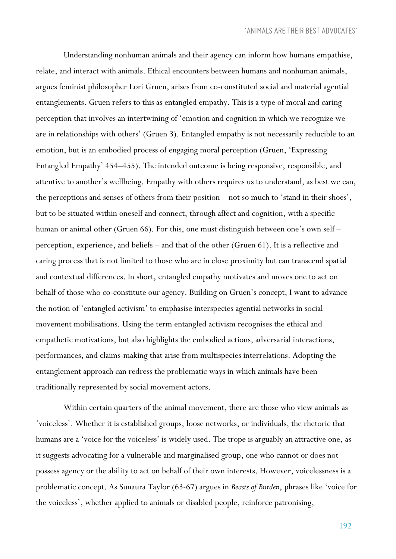Understanding nonhuman animals and their agency can inform how humans empathise, relate, and interact with animals. Ethical encounters between humans and nonhuman animals, argues feminist philosopher Lori Gruen, arises from co-constituted social and material agential entanglements. Gruen refers to this as entangled empathy. This is a type of moral and caring perception that involves an intertwining of 'emotion and cognition in which we recognize we are in relationships with others' (Gruen 3). Entangled empathy is not necessarily reducible to an emotion, but is an embodied process of engaging moral perception (Gruen, 'Expressing Entangled Empathy' 454–455). The intended outcome is being responsive, responsible, and attentive to another's wellbeing. Empathy with others requires us to understand, as best we can, the perceptions and senses of others from their position – not so much to 'stand in their shoes', but to be situated within oneself and connect, through affect and cognition, with a specific human or animal other (Gruen 66). For this, one must distinguish between one's own self – perception, experience, and beliefs – and that of the other (Gruen 61). It is a reflective and caring process that is not limited to those who are in close proximity but can transcend spatial and contextual differences. In short, entangled empathy motivates and moves one to act on behalf of those who co-constitute our agency. Building on Gruen's concept, I want to advance the notion of 'entangled activism' to emphasise interspecies agential networks in social movement mobilisations. Using the term entangled activism recognises the ethical and empathetic motivations, but also highlights the embodied actions, adversarial interactions, performances, and claims-making that arise from multispecies interrelations. Adopting the entanglement approach can redress the problematic ways in which animals have been traditionally represented by social movement actors.

Within certain quarters of the animal movement, there are those who view animals as 'voiceless'. Whether it is established groups, loose networks, or individuals, the rhetoric that humans are a 'voice for the voiceless' is widely used. The trope is arguably an attractive one, as it suggests advocating for a vulnerable and marginalised group, one who cannot or does not possess agency or the ability to act on behalf of their own interests. However, voicelessness is a problematic concept. As Sunaura Taylor (63-67) argues in *Beasts of Burden*, phrases like 'voice for the voiceless', whether applied to animals or disabled people, reinforce patronising,

192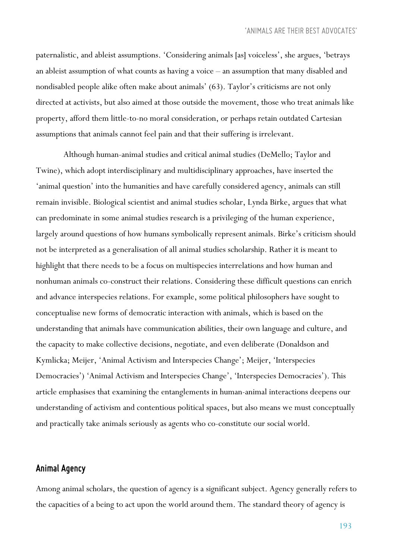paternalistic, and ableist assumptions. 'Considering animals [as] voiceless', she argues, 'betrays an ableist assumption of what counts as having a voice – an assumption that many disabled and nondisabled people alike often make about animals' (63). Taylor's criticisms are not only directed at activists, but also aimed at those outside the movement, those who treat animals like property, afford them little-to-no moral consideration, or perhaps retain outdated Cartesian assumptions that animals cannot feel pain and that their suffering is irrelevant.

Although human-animal studies and critical animal studies (DeMello; Taylor and Twine), which adopt interdisciplinary and multidisciplinary approaches, have inserted the 'animal question' into the humanities and have carefully considered agency, animals can still remain invisible. Biological scientist and animal studies scholar, Lynda Birke, argues that what can predominate in some animal studies research is a privileging of the human experience, largely around questions of how humans symbolically represent animals. Birke's criticism should not be interpreted as a generalisation of all animal studies scholarship. Rather it is meant to highlight that there needs to be a focus on multispecies interrelations and how human and nonhuman animals co-construct their relations. Considering these difficult questions can enrich and advance interspecies relations. For example, some political philosophers have sought to conceptualise new forms of democratic interaction with animals, which is based on the understanding that animals have communication abilities, their own language and culture, and the capacity to make collective decisions, negotiate, and even deliberate (Donaldson and Kymlicka; Meijer, 'Animal Activism and Interspecies Change'; Meijer, 'Interspecies Democracies') 'Animal Activism and Interspecies Change', 'Interspecies Democracies'). This article emphasises that examining the entanglements in human-animal interactions deepens our understanding of activism and contentious political spaces, but also means we must conceptually and practically take animals seriously as agents who co-constitute our social world.

### *Animal Agency*

Among animal scholars, the question of agency is a significant subject. Agency generally refers to the capacities of a being to act upon the world around them. The standard theory of agency is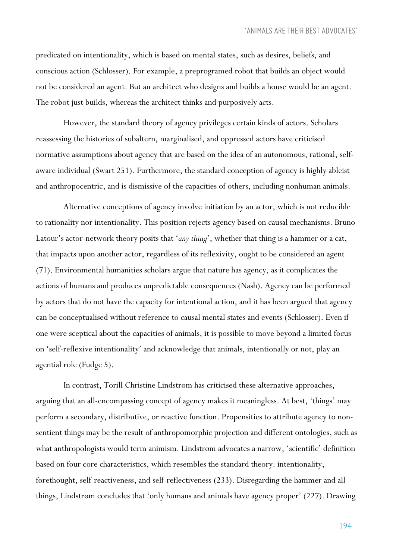predicated on intentionality, which is based on mental states, such as desires, beliefs, and conscious action (Schlosser). For example, a preprogramed robot that builds an object would not be considered an agent. But an architect who designs and builds a house would be an agent. The robot just builds, whereas the architect thinks and purposively acts.

However, the standard theory of agency privileges certain kinds of actors. Scholars reassessing the histories of subaltern, marginalised, and oppressed actors have criticised normative assumptions about agency that are based on the idea of an autonomous, rational, selfaware individual (Swart 251). Furthermore, the standard conception of agency is highly ableist and anthropocentric, and is dismissive of the capacities of others, including nonhuman animals.

Alternative conceptions of agency involve initiation by an actor, which is not reducible to rationality nor intentionality. This position rejects agency based on causal mechanisms. Bruno Latour's actor-network theory posits that '*any thing*', whether that thing is a hammer or a cat, that impacts upon another actor, regardless of its reflexivity, ought to be considered an agent (71). Environmental humanities scholars argue that nature has agency, as it complicates the actions of humans and produces unpredictable consequences (Nash). Agency can be performed by actors that do not have the capacity for intentional action, and it has been argued that agency can be conceptualised without reference to causal mental states and events (Schlosser). Even if one were sceptical about the capacities of animals, it is possible to move beyond a limited focus on 'self-reflexive intentionality' and acknowledge that animals, intentionally or not, play an agential role (Fudge 5).

In contrast, Torill Christine Lindstrøm has criticised these alternative approaches, arguing that an all-encompassing concept of agency makes it meaningless. At best, 'things' may perform a secondary, distributive, or reactive function. Propensities to attribute agency to nonsentient things may be the result of anthropomorphic projection and different ontologies, such as what anthropologists would term animism. Lindstrøm advocates a narrow, 'scientific' definition based on four core characteristics, which resembles the standard theory: intentionality, forethought, self-reactiveness, and self-reflectiveness (233). Disregarding the hammer and all things, Lindstrøm concludes that 'only humans and animals have agency proper' (227). Drawing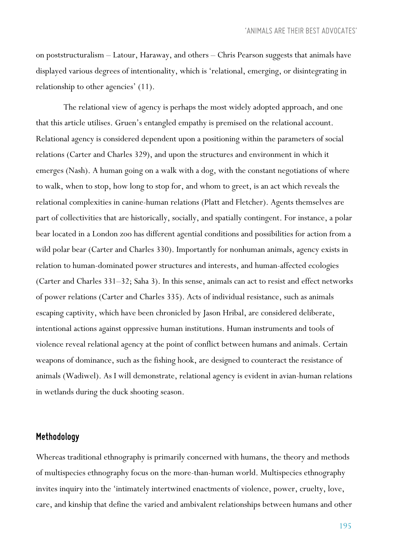on poststructuralism – Latour, Haraway, and others – Chris Pearson suggests that animals have displayed various degrees of intentionality, which is 'relational, emerging, or disintegrating in relationship to other agencies' (11).

The relational view of agency is perhaps the most widely adopted approach, and one that this article utilises. Gruen's entangled empathy is premised on the relational account. Relational agency is considered dependent upon a positioning within the parameters of social relations (Carter and Charles 329), and upon the structures and environment in which it emerges (Nash). A human going on a walk with a dog, with the constant negotiations of where to walk, when to stop, how long to stop for, and whom to greet, is an act which reveals the relational complexities in canine-human relations (Platt and Fletcher). Agents themselves are part of collectivities that are historically, socially, and spatially contingent. For instance, a polar bear located in a London zoo has different agential conditions and possibilities for action from a wild polar bear (Carter and Charles 330). Importantly for nonhuman animals, agency exists in relation to human-dominated power structures and interests, and human-affected ecologies (Carter and Charles 331–32; Saha 3). In this sense, animals can act to resist and effect networks of power relations (Carter and Charles 335). Acts of individual resistance, such as animals escaping captivity, which have been chronicled by Jason Hribal, are considered deliberate, intentional actions against oppressive human institutions. Human instruments and tools of violence reveal relational agency at the point of conflict between humans and animals. Certain weapons of dominance, such as the fishing hook, are designed to counteract the resistance of animals (Wadiwel). As I will demonstrate, relational agency is evident in avian-human relations in wetlands during the duck shooting season.

## *Methodology*

Whereas traditional ethnography is primarily concerned with humans, the theory and methods of multispecies ethnography focus on the more-than-human world. Multispecies ethnography invites inquiry into the 'intimately intertwined enactments of violence, power, cruelty, love, care, and kinship that define the varied and ambivalent relationships between humans and other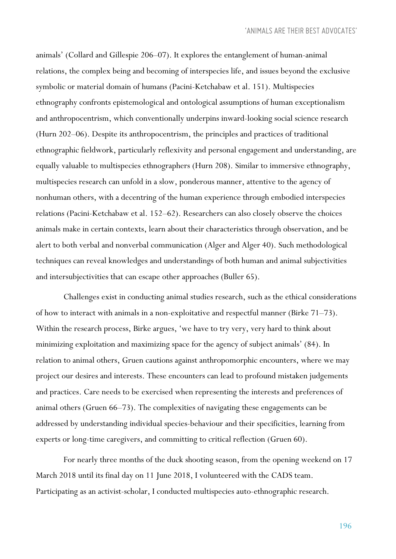animals' (Collard and Gillespie 206–07). It explores the entanglement of human-animal relations, the complex being and becoming of interspecies life, and issues beyond the exclusive symbolic or material domain of humans (Pacini-Ketchabaw et al. 151). Multispecies ethnography confronts epistemological and ontological assumptions of human exceptionalism and anthropocentrism, which conventionally underpins inward-looking social science research (Hurn 202–06). Despite its anthropocentrism, the principles and practices of traditional ethnographic fieldwork, particularly reflexivity and personal engagement and understanding, are equally valuable to multispecies ethnographers (Hurn 208). Similar to immersive ethnography, multispecies research can unfold in a slow, ponderous manner, attentive to the agency of nonhuman others, with a decentring of the human experience through embodied interspecies relations (Pacini-Ketchabaw et al. 152–62). Researchers can also closely observe the choices animals make in certain contexts, learn about their characteristics through observation, and be alert to both verbal and nonverbal communication (Alger and Alger 40). Such methodological techniques can reveal knowledges and understandings of both human and animal subjectivities and intersubjectivities that can escape other approaches (Buller 65).

Challenges exist in conducting animal studies research, such as the ethical considerations of how to interact with animals in a non-exploitative and respectful manner (Birke 71–73). Within the research process, Birke argues, 'we have to try very, very hard to think about minimizing exploitation and maximizing space for the agency of subject animals' (84). In relation to animal others, Gruen cautions against anthropomorphic encounters, where we may project our desires and interests. These encounters can lead to profound mistaken judgements and practices. Care needs to be exercised when representing the interests and preferences of animal others (Gruen 66–73). The complexities of navigating these engagements can be addressed by understanding individual species-behaviour and their specificities, learning from experts or long-time caregivers, and committing to critical reflection (Gruen 60).

For nearly three months of the duck shooting season, from the opening weekend on 17 March 2018 until its final day on 11 June 2018, I volunteered with the CADS team. Participating as an activist-scholar, I conducted multispecies auto-ethnographic research.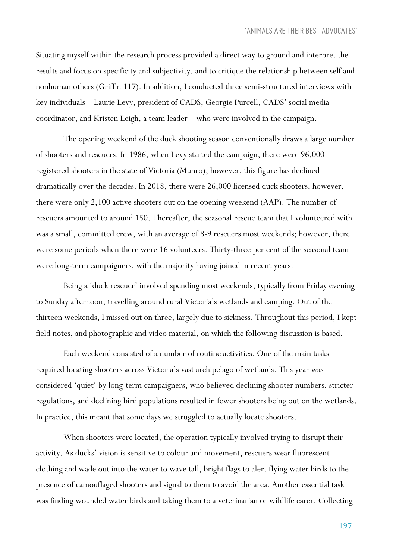Situating myself within the research process provided a direct way to ground and interpret the results and focus on specificity and subjectivity, and to critique the relationship between self and nonhuman others (Griffin 117). In addition, I conducted three semi-structured interviews with key individuals – Laurie Levy, president of CADS, Georgie Purcell, CADS' social media coordinator, and Kristen Leigh, a team leader – who were involved in the campaign.

The opening weekend of the duck shooting season conventionally draws a large number of shooters and rescuers. In 1986, when Levy started the campaign, there were 96,000 registered shooters in the state of Victoria (Munro), however, this figure has declined dramatically over the decades. In 2018, there were 26,000 licensed duck shooters; however, there were only 2,100 active shooters out on the opening weekend (AAP). The number of rescuers amounted to around 150. Thereafter, the seasonal rescue team that I volunteered with was a small, committed crew, with an average of 8-9 rescuers most weekends; however, there were some periods when there were 16 volunteers. Thirty-three per cent of the seasonal team were long-term campaigners, with the majority having joined in recent years.

Being a 'duck rescuer' involved spending most weekends, typically from Friday evening to Sunday afternoon, travelling around rural Victoria's wetlands and camping. Out of the thirteen weekends, I missed out on three, largely due to sickness. Throughout this period, I kept field notes, and photographic and video material, on which the following discussion is based.

Each weekend consisted of a number of routine activities. One of the main tasks required locating shooters across Victoria's vast archipelago of wetlands. This year was considered 'quiet' by long-term campaigners, who believed declining shooter numbers, stricter regulations, and declining bird populations resulted in fewer shooters being out on the wetlands. In practice, this meant that some days we struggled to actually locate shooters.

When shooters were located, the operation typically involved trying to disrupt their activity. As ducks' vision is sensitive to colour and movement, rescuers wear fluorescent clothing and wade out into the water to wave tall, bright flags to alert flying water birds to the presence of camouflaged shooters and signal to them to avoid the area. Another essential task was finding wounded water birds and taking them to a veterinarian or wildlife carer. Collecting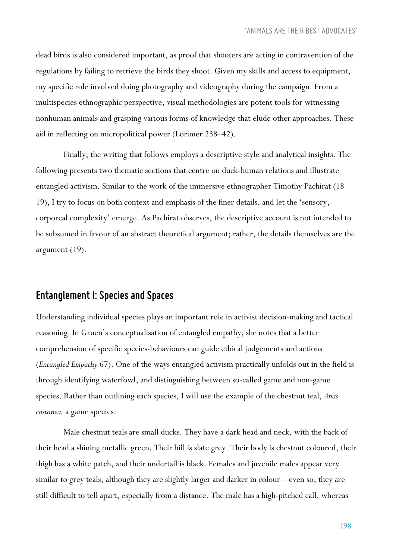dead birds is also considered important, as proof that shooters are acting in contravention of the regulations by failing to retrieve the birds they shoot. Given my skills and access to equipment, my specific role involved doing photography and videography during the campaign. From a multispecies ethnographic perspective, visual methodologies are potent tools for witnessing nonhuman animals and grasping various forms of knowledge that elude other approaches. These aid in reflecting on micropolitical power (Lorimer 238–42).

Finally, the writing that follows employs a descriptive style and analytical insights. The following presents two thematic sections that centre on duck-human relations and illustrate entangled activism. Similar to the work of the immersive ethnographer Timothy Pachirat (18– 19), I try to focus on both context and emphasis of the finer details, and let the 'sensory, corporeal complexity' emerge. As Pachirat observes, the descriptive account is not intended to be subsumed in favour of an abstract theoretical argument; rather, the details themselves are the argument (19).

## *Entanglement I:Species andSpaces*

Understanding individual species plays an important role in activist decision-making and tactical reasoning. In Gruen's conceptualisation of entangled empathy, she notes that a better comprehension of specific species-behaviours can guide ethical judgements and actions (*Entangled Empathy* 67). One of the ways entangled activism practically unfolds out in the field is through identifying waterfowl, and distinguishing between so-called game and non-game species. Rather than outlining each species, I will use the example of the chestnut teal, *Anas castanea,* a game species.

Male chestnut teals are small ducks. They have a dark head and neck, with the back of their head a shining metallic green. Their bill is slate grey. Their body is chestnut coloured, their thigh has a white patch, and their undertail is black. Females and juvenile males appear very similar to grey teals, although they are slightly larger and darker in colour – even so, they are still difficult to tell apart, especially from a distance. The male has a high-pitched call, whereas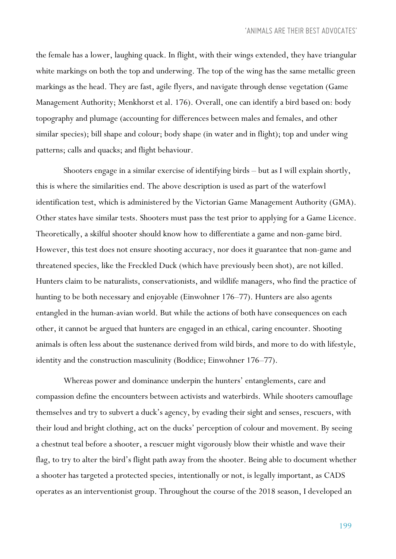the female has a lower, laughing quack. In flight, with their wings extended, they have triangular white markings on both the top and underwing. The top of the wing has the same metallic green markings as the head. They are fast, agile flyers, and navigate through dense vegetation (Game Management Authority; Menkhorst et al. 176). Overall, one can identify a bird based on: body topography and plumage (accounting for differences between males and females, and other similar species); bill shape and colour; body shape (in water and in flight); top and under wing patterns; calls and quacks; and flight behaviour.

Shooters engage in a similar exercise of identifying birds – but as I will explain shortly, this is where the similarities end. The above description is used as part of the waterfowl identification test, which is administered by the Victorian Game Management Authority (GMA). Other states have similar tests. Shooters must pass the test prior to applying for a Game Licence. Theoretically, a skilful shooter should know how to differentiate a game and non-game bird. However, this test does not ensure shooting accuracy, nor does it guarantee that non-game and threatened species, like the Freckled Duck (which have previously been shot), are not killed. Hunters claim to be naturalists, conservationists, and wildlife managers, who find the practice of hunting to be both necessary and enjoyable (Einwohner 176–77). Hunters are also agents entangled in the human-avian world. But while the actions of both have consequences on each other, it cannot be argued that hunters are engaged in an ethical, caring encounter. Shooting animals is often less about the sustenance derived from wild birds, and more to do with lifestyle, identity and the construction masculinity (Boddice; Einwohner 176–77).

Whereas power and dominance underpin the hunters' entanglements, care and compassion define the encounters between activists and waterbirds. While shooters camouflage themselves and try to subvert a duck's agency, by evading their sight and senses, rescuers, with their loud and bright clothing, act on the ducks' perception of colour and movement. By seeing a chestnut teal before a shooter, a rescuer might vigorously blow their whistle and wave their flag, to try to alter the bird's flight path away from the shooter. Being able to document whether a shooter has targeted a protected species, intentionally or not, is legally important, as CADS operates as an interventionist group. Throughout the course of the 2018 season, I developed an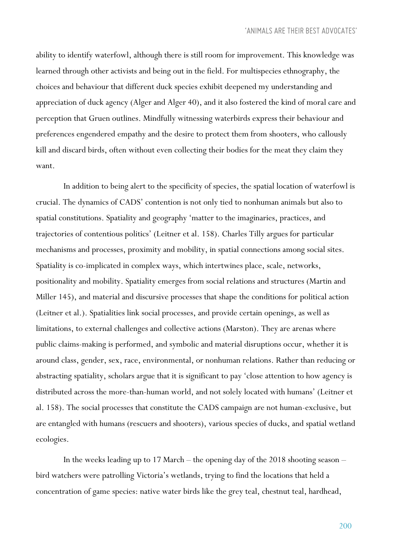ability to identify waterfowl, although there is still room for improvement. This knowledge was learned through other activists and being out in the field. For multispecies ethnography, the choices and behaviour that different duck species exhibit deepened my understanding and appreciation of duck agency (Alger and Alger 40), and it also fostered the kind of moral care and perception that Gruen outlines. Mindfully witnessing waterbirds express their behaviour and preferences engendered empathy and the desire to protect them from shooters, who callously kill and discard birds, often without even collecting their bodies for the meat they claim they want.

In addition to being alert to the specificity of species, the spatial location of waterfowl is crucial. The dynamics of CADS' contention is not only tied to nonhuman animals but also to spatial constitutions. Spatiality and geography 'matter to the imaginaries, practices, and trajectories of contentious politics' (Leitner et al. 158). Charles Tilly argues for particular mechanisms and processes, proximity and mobility, in spatial connections among social sites. Spatiality is co-implicated in complex ways, which intertwines place, scale, networks, positionality and mobility. Spatiality emerges from social relations and structures (Martin and Miller 145), and material and discursive processes that shape the conditions for political action (Leitner et al.). Spatialities link social processes, and provide certain openings, as well as limitations, to external challenges and collective actions (Marston). They are arenas where public claims-making is performed, and symbolic and material disruptions occur, whether it is around class, gender, sex, race, environmental, or nonhuman relations. Rather than reducing or abstracting spatiality, scholars argue that it is significant to pay 'close attention to how agency is distributed across the more-than-human world, and not solely located with humans' (Leitner et al. 158). The social processes that constitute the CADS campaign are not human-exclusive, but are entangled with humans (rescuers and shooters), various species of ducks, and spatial wetland ecologies.

In the weeks leading up to 17 March – the opening day of the 2018 shooting season – bird watchers were patrolling Victoria's wetlands, trying to find the locations that held a concentration of game species: native water birds like the grey teal, chestnut teal, hardhead,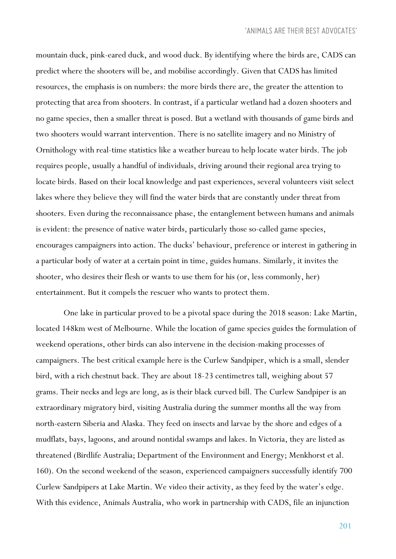mountain duck, pink-eared duck, and wood duck. By identifying where the birds are, CADS can predict where the shooters will be, and mobilise accordingly. Given that CADS has limited resources, the emphasis is on numbers: the more birds there are, the greater the attention to protecting that area from shooters. In contrast, if a particular wetland had a dozen shooters and no game species, then a smaller threat is posed. But a wetland with thousands of game birds and two shooters would warrant intervention. There is no satellite imagery and no Ministry of Ornithology with real-time statistics like a weather bureau to help locate water birds. The job requires people, usually a handful of individuals, driving around their regional area trying to locate birds. Based on their local knowledge and past experiences, several volunteers visit select lakes where they believe they will find the water birds that are constantly under threat from shooters. Even during the reconnaissance phase, the entanglement between humans and animals is evident: the presence of native water birds, particularly those so-called game species, encourages campaigners into action. The ducks' behaviour, preference or interest in gathering in a particular body of water at a certain point in time, guides humans. Similarly, it invites the shooter, who desires their flesh or wants to use them for his (or, less commonly, her) entertainment. But it compels the rescuer who wants to protect them.

One lake in particular proved to be a pivotal space during the 2018 season: Lake Martin, located 148km west of Melbourne. While the location of game species guides the formulation of weekend operations, other birds can also intervene in the decision-making processes of campaigners. The best critical example here is the Curlew Sandpiper, which is a small, slender bird, with a rich chestnut back. They are about 18-23 centimetres tall, weighing about 57 grams. Their necks and legs are long, as is their black curved bill. The Curlew Sandpiper is an extraordinary migratory bird, visiting Australia during the summer months all the way from north-eastern Siberia and Alaska. They feed on insects and larvae by the shore and edges of a mudflats, bays, lagoons, and around nontidal swamps and lakes. In Victoria, they are listed as threatened (Birdlife Australia; Department of the Environment and Energy; Menkhorst et al. 160). On the second weekend of the season, experienced campaigners successfully identify 700 Curlew Sandpipers at Lake Martin. We video their activity, as they feed by the water's edge. With this evidence, Animals Australia, who work in partnership with CADS, file an injunction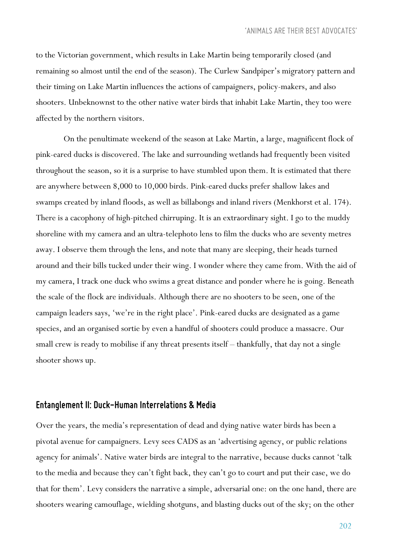to the Victorian government, which results in Lake Martin being temporarily closed (and remaining so almost until the end of the season). The Curlew Sandpiper's migratory pattern and their timing on Lake Martin influences the actions of campaigners, policy-makers, and also shooters. Unbeknownst to the other native water birds that inhabit Lake Martin, they too were affected by the northern visitors.

On the penultimate weekend of the season at Lake Martin, a large, magnificent flock of pink-eared ducks is discovered. The lake and surrounding wetlands had frequently been visited throughout the season, so it is a surprise to have stumbled upon them. It is estimated that there are anywhere between 8,000 to 10,000 birds. Pink-eared ducks prefer shallow lakes and swamps created by inland floods, as well as billabongs and inland rivers (Menkhorst et al. 174). There is a cacophony of high-pitched chirruping. It is an extraordinary sight. I go to the muddy shoreline with my camera and an ultra-telephoto lens to film the ducks who are seventy metres away. I observe them through the lens, and note that many are sleeping, their heads turned around and their bills tucked under their wing. I wonder where they came from. With the aid of my camera, I track one duck who swims a great distance and ponder where he is going. Beneath the scale of the flock are individuals. Although there are no shooters to be seen, one of the campaign leaders says, 'we're in the right place'. Pink-eared ducks are designated as a game species, and an organised sortie by even a handful of shooters could produce a massacre. Our small crew is ready to mobilise if any threat presents itself – thankfully, that day not a single shooter shows up.

### *Entanglement II: Duck-Human Interrelations & Media*

Over the years, the media's representation of dead and dying native water birds has been a pivotal avenue for campaigners. Levy sees CADS as an 'advertising agency, or public relations agency for animals'. Native water birds are integral to the narrative, because ducks cannot 'talk to the media and because they can't fight back, they can't go to court and put their case, we do that for them'. Levy considers the narrative a simple, adversarial one: on the one hand, there are shooters wearing camouflage, wielding shotguns, and blasting ducks out of the sky; on the other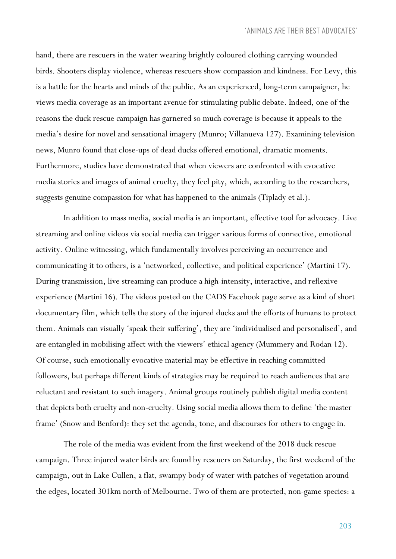hand, there are rescuers in the water wearing brightly coloured clothing carrying wounded birds. Shooters display violence, whereas rescuers show compassion and kindness. For Levy, this is a battle for the hearts and minds of the public. As an experienced, long-term campaigner, he views media coverage as an important avenue for stimulating public debate. Indeed, one of the reasons the duck rescue campaign has garnered so much coverage is because it appeals to the media's desire for novel and sensational imagery (Munro; Villanueva 127). Examining television news, Munro found that close-ups of dead ducks offered emotional, dramatic moments. Furthermore, studies have demonstrated that when viewers are confronted with evocative media stories and images of animal cruelty, they feel pity, which, according to the researchers, suggests genuine compassion for what has happened to the animals (Tiplady et al.).

In addition to mass media, social media is an important, effective tool for advocacy. Live streaming and online videos via social media can trigger various forms of connective, emotional activity. Online witnessing, which fundamentally involves perceiving an occurrence and communicating it to others, is a 'networked, collective, and political experience' (Martini 17). During transmission, live streaming can produce a high-intensity, interactive, and reflexive experience (Martini 16). The videos posted on the CADS Facebook page serve as a kind of short documentary film, which tells the story of the injured ducks and the efforts of humans to protect them. Animals can visually 'speak their suffering', they are 'individualised and personalised', and are entangled in mobilising affect with the viewers' ethical agency (Mummery and Rodan 12). Of course, such emotionally evocative material may be effective in reaching committed followers, but perhaps different kinds of strategies may be required to reach audiences that are reluctant and resistant to such imagery. Animal groups routinely publish digital media content that depicts both cruelty and non-cruelty. Using social media allows them to define 'the master frame' (Snow and Benford): they set the agenda, tone, and discourses for others to engage in.

The role of the media was evident from the first weekend of the 2018 duck rescue campaign. Three injured water birds are found by rescuers on Saturday, the first weekend of the campaign, out in Lake Cullen, a flat, swampy body of water with patches of vegetation around the edges, located 301km north of Melbourne. Two of them are protected, non-game species: a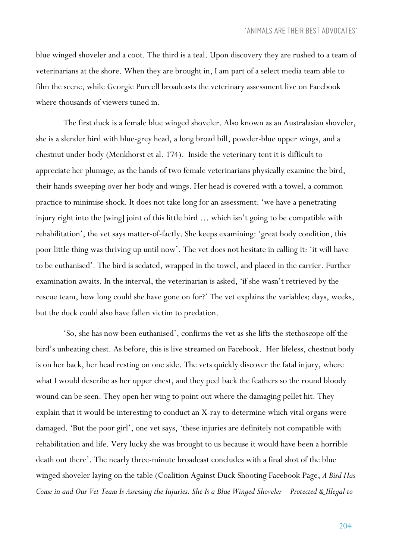blue winged shoveler and a coot. The third is a teal. Upon discovery they are rushed to a team of veterinarians at the shore. When they are brought in, I am part of a select media team able to film the scene, while Georgie Purcell broadcasts the veterinary assessment live on Facebook where thousands of viewers tuned in.

The first duck is a female blue winged shoveler. Also known as an Australasian shoveler, she is a slender bird with blue-grey head, a long broad bill, powder-blue upper wings, and a chestnut under body (Menkhorst et al. 174). Inside the veterinary tent it is difficult to appreciate her plumage, as the hands of two female veterinarians physically examine the bird, their hands sweeping over her body and wings. Her head is covered with a towel, a common practice to minimise shock. It does not take long for an assessment: 'we have a penetrating injury right into the [wing] joint of this little bird … which isn't going to be compatible with rehabilitation', the vet says matter-of-factly. She keeps examining: 'great body condition, this poor little thing was thriving up until now'. The vet does not hesitate in calling it: 'it will have to be euthanised'. The bird is sedated, wrapped in the towel, and placed in the carrier. Further examination awaits. In the interval, the veterinarian is asked, 'if she wasn't retrieved by the rescue team, how long could she have gone on for?' The vet explains the variables: days, weeks, but the duck could also have fallen victim to predation.

'So, she has now been euthanised', confirms the vet as she lifts the stethoscope off the bird's unbeating chest. As before, this is live streamed on Facebook. Her lifeless, chestnut body is on her back, her head resting on one side. The vets quickly discover the fatal injury, where what I would describe as her upper chest, and they peel back the feathers so the round bloody wound can be seen. They open her wing to point out where the damaging pellet hit. They explain that it would be interesting to conduct an X-ray to determine which vital organs were damaged. 'But the poor girl', one vet says, 'these injuries are definitely not compatible with rehabilitation and life. Very lucky she was brought to us because it would have been a horrible death out there'. The nearly three-minute broadcast concludes with a final shot of the blue winged shoveler laying on the table (Coalition Against Duck Shooting Facebook Page, *A Bird Has Come in and Our Vet Team Is Assessing the Injuries. She Is a Blue Winged Shoveler – Protected & Illegal to*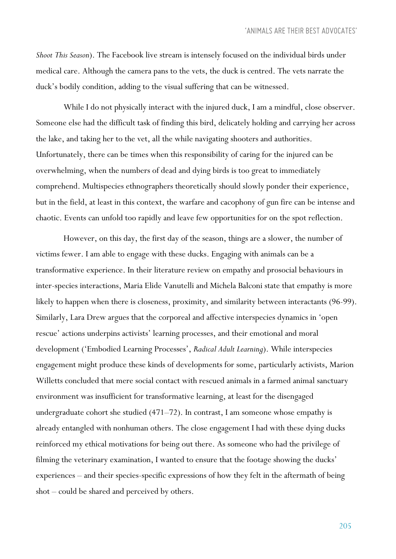*Shoot This Season*). The Facebook live stream is intensely focused on the individual birds under medical care. Although the camera pans to the vets, the duck is centred. The vets narrate the duck's bodily condition, adding to the visual suffering that can be witnessed.

While I do not physically interact with the injured duck, I am a mindful, close observer. Someone else had the difficult task of finding this bird, delicately holding and carrying her across the lake, and taking her to the vet, all the while navigating shooters and authorities. Unfortunately, there can be times when this responsibility of caring for the injured can be overwhelming, when the numbers of dead and dying birds is too great to immediately comprehend. Multispecies ethnographers theoretically should slowly ponder their experience, but in the field, at least in this context, the warfare and cacophony of gun fire can be intense and chaotic. Events can unfold too rapidly and leave few opportunities for on the spot reflection.

However, on this day, the first day of the season, things are a slower, the number of victims fewer. I am able to engage with these ducks. Engaging with animals can be a transformative experience. In their literature review on empathy and prosocial behaviours in inter-species interactions, Maria Elide Vanutelli and Michela Balconi state that empathy is more likely to happen when there is closeness, proximity, and similarity between interactants (96-99). Similarly, Lara Drew argues that the corporeal and affective interspecies dynamics in 'open rescue' actions underpins activists' learning processes, and their emotional and moral development ('Embodied Learning Processes', *Radical Adult Learning*). While interspecies engagement might produce these kinds of developments for some, particularly activists, Marion Willetts concluded that mere social contact with rescued animals in a farmed animal sanctuary environment was insufficient for transformative learning, at least for the disengaged undergraduate cohort she studied (471–72). In contrast, I am someone whose empathy is already entangled with nonhuman others. The close engagement I had with these dying ducks reinforced my ethical motivations for being out there. As someone who had the privilege of filming the veterinary examination, I wanted to ensure that the footage showing the ducks' experiences – and their species-specific expressions of how they felt in the aftermath of being shot – could be shared and perceived by others.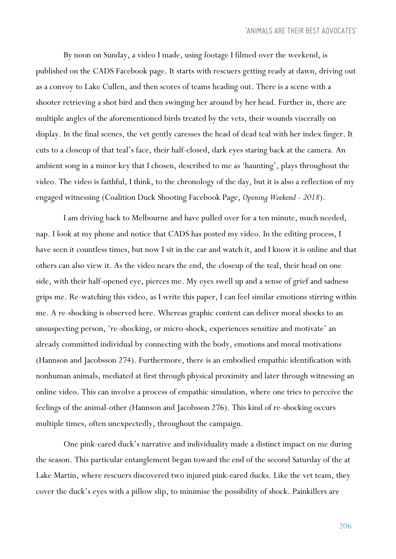By noon on Sunday, a video I made, using footage I filmed over the weekend, is published on the CADS Facebook page. It starts with rescuers getting ready at dawn, driving out as a convoy to Lake Cullen, and then scores of teams heading out. There is a scene with a shooter retrieving a shot bird and then swinging her around by her head. Further in, there are multiple angles of the aforementioned birds treated by the vets, their wounds viscerally on display. In the final scenes, the vet gently caresses the head of dead teal with her index finger. It cuts to a closeup of that teal's face, their half-closed, dark eyes staring back at the camera. An ambient song in a minor key that I chosen, described to me as 'haunting', plays throughout the video. The video is faithful, I think, to the chronology of the day, but it is also a reflection of my engaged witnessing (Coalition Duck Shooting Facebook Page, *Opening Weekend - 2018*).

I am driving back to Melbourne and have pulled over for a ten minute, much needed, nap. I look at my phone and notice that CADS has posted my video. In the editing process, I have seen it countless times, but now I sit in the car and watch it, and I know it is online and that others can also view it. As the video nears the end, the closeup of the teal, their head on one side, with their half-opened eye, pierces me. My eyes swell up and a sense of grief and sadness grips me. Re-watching this video, as I write this paper, I can feel similar emotions stirring within me. A re-shocking is observed here. Whereas graphic content can deliver moral shocks to an unsuspecting person, 're-shocking, or micro-shock, experiences sensitize and motivate' an already committed individual by connecting with the body, emotions and moral motivations (Hannson and Jacobsson 274). Furthermore, there is an embodied empathic identification with nonhuman animals, mediated at first through physical proximity and later through witnessing an online video. This can involve a process of empathic simulation, where one tries to perceive the feelings of the animal-other (Hannson and Jacobsson 276). This kind of re-shocking occurs multiple times, often unexpectedly, throughout the campaign.

One pink-eared duck's narrative and individuality made a distinct impact on me during the season. This particular entanglement began toward the end of the second Saturday of the at Lake Martin, where rescuers discovered two injured pink-eared ducks. Like the vet team, they cover the duck's eyes with a pillow slip, to minimise the possibility of shock. Painkillers are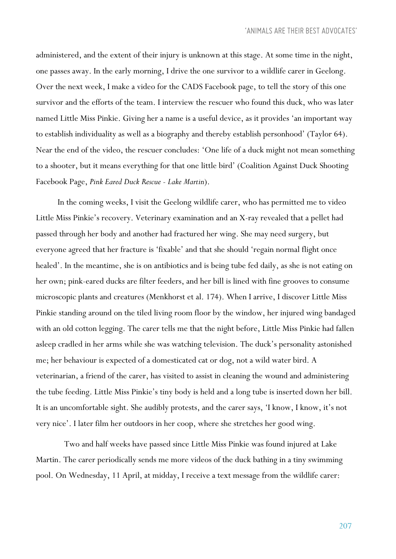administered, and the extent of their injury is unknown at this stage. At some time in the night, one passes away. In the early morning, I drive the one survivor to a wildlife carer in Geelong. Over the next week, I make a video for the CADS Facebook page, to tell the story of this one survivor and the efforts of the team. I interview the rescuer who found this duck, who was later named Little Miss Pinkie. Giving her a name is a useful device, as it provides 'an important way to establish individuality as well as a biography and thereby establish personhood' (Taylor 64). Near the end of the video, the rescuer concludes: 'One life of a duck might not mean something to a shooter, but it means everything for that one little bird' (Coalition Against Duck Shooting Facebook Page, *Pink Eared Duck Rescue - Lake Martin*).

In the coming weeks, I visit the Geelong wildlife carer, who has permitted me to video Little Miss Pinkie's recovery. Veterinary examination and an X-ray revealed that a pellet had passed through her body and another had fractured her wing. She may need surgery, but everyone agreed that her fracture is 'fixable' and that she should 'regain normal flight once healed'. In the meantime, she is on antibiotics and is being tube fed daily, as she is not eating on her own; pink-eared ducks are filter feeders, and her bill is lined with fine grooves to consume microscopic plants and creatures (Menkhorst et al. 174). When I arrive, I discover Little Miss Pinkie standing around on the tiled living room floor by the window, her injured wing bandaged with an old cotton legging. The carer tells me that the night before, Little Miss Pinkie had fallen asleep cradled in her arms while she was watching television. The duck's personality astonished me; her behaviour is expected of a domesticated cat or dog, not a wild water bird. A veterinarian, a friend of the carer, has visited to assist in cleaning the wound and administering the tube feeding. Little Miss Pinkie's tiny body is held and a long tube is inserted down her bill. It is an uncomfortable sight. She audibly protests, and the carer says, 'I know, I know, it's not very nice'. I later film her outdoors in her coop, where she stretches her good wing.

Two and half weeks have passed since Little Miss Pinkie was found injured at Lake Martin. The carer periodically sends me more videos of the duck bathing in a tiny swimming pool. On Wednesday, 11 April, at midday, I receive a text message from the wildlife carer: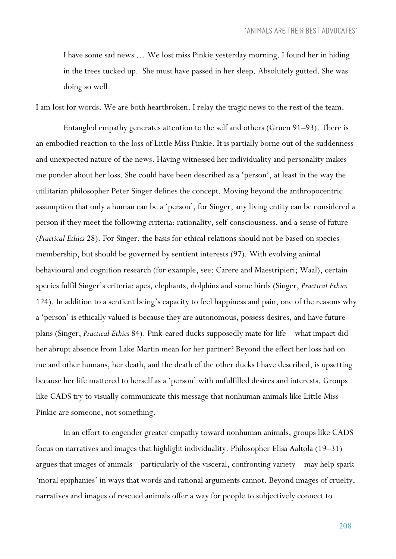I have some sad news … We lost miss Pinkie yesterday morning. I found her in hiding in the trees tucked up. She must have passed in her sleep. Absolutely gutted. She was doing so well.

I am lost for words. We are both heartbroken. I relay the tragic news to the rest of the team.

Entangled empathy generates attention to the self and others (Gruen 91–93). There is an embodied reaction to the loss of Little Miss Pinkie. It is partially borne out of the suddenness and unexpected nature of the news. Having witnessed her individuality and personality makes me ponder about her loss. She could have been described as a 'person', at least in the way the utilitarian philosopher Peter Singer defines the concept. Moving beyond the anthropocentric assumption that only a human can be a 'person', for Singer, any living entity can be considered a person if they meet the following criteria: rationality, self-consciousness, and a sense of future (*Practical Ethics* 28). For Singer, the basis for ethical relations should not be based on speciesmembership, but should be governed by sentient interests (97). With evolving animal behavioural and cognition research (for example, see: Carere and Maestripieri; Waal), certain species fulfil Singer's criteria: apes, elephants, dolphins and some birds (Singer, *Practical Ethics* 124). In addition to a sentient being's capacity to feel happiness and pain, one of the reasons why a 'person' is ethically valued is because they are autonomous, possess desires, and have future plans (Singer, *Practical Ethics* 84). Pink-eared ducks supposedly mate for life – what impact did her abrupt absence from Lake Martin mean for her partner? Beyond the effect her loss had on me and other humans, her death, and the death of the other ducks I have described, is upsetting because her life mattered to herself as a 'person' with unfulfilled desires and interests. Groups like CADS try to visually communicate this message that nonhuman animals like Little Miss Pinkie are someone, not something.

In an effort to engender greater empathy toward nonhuman animals, groups like CADS focus on narratives and images that highlight individuality. Philosopher Elisa Aaltola (19–31) argues that images of animals – particularly of the visceral, confronting variety – may help spark 'moral epiphanies' in ways that words and rational arguments cannot. Beyond images of cruelty, narratives and images of rescued animals offer a way for people to subjectively connect to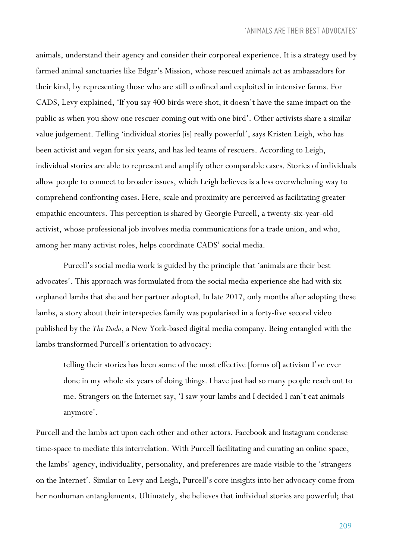animals, understand their agency and consider their corporeal experience. It is a strategy used by farmed animal sanctuaries like Edgar's Mission, whose rescued animals act as ambassadors for their kind, by representing those who are still confined and exploited in intensive farms. For CADS, Levy explained, 'If you say 400 birds were shot, it doesn't have the same impact on the public as when you show one rescuer coming out with one bird'. Other activists share a similar value judgement. Telling 'individual stories [is] really powerful', says Kristen Leigh, who has been activist and vegan for six years, and has led teams of rescuers. According to Leigh, individual stories are able to represent and amplify other comparable cases. Stories of individuals allow people to connect to broader issues, which Leigh believes is a less overwhelming way to comprehend confronting cases. Here, scale and proximity are perceived as facilitating greater empathic encounters. This perception is shared by Georgie Purcell, a twenty-six-year-old activist, whose professional job involves media communications for a trade union, and who, among her many activist roles, helps coordinate CADS' social media.

Purcell's social media work is guided by the principle that 'animals are their best advocates'. This approach was formulated from the social media experience she had with six orphaned lambs that she and her partner adopted. In late 2017, only months after adopting these lambs, a story about their interspecies family was popularised in a forty-five second video published by the *The Dodo*, a New York-based digital media company. Being entangled with the lambs transformed Purcell's orientation to advocacy:

telling their stories has been some of the most effective [forms of] activism I've ever done in my whole six years of doing things. I have just had so many people reach out to me. Strangers on the Internet say, 'I saw your lambs and I decided I can't eat animals anymore'.

Purcell and the lambs act upon each other and other actors. Facebook and Instagram condense time-space to mediate this interrelation. With Purcell facilitating and curating an online space, the lambs' agency, individuality, personality, and preferences are made visible to the 'strangers on the Internet'. Similar to Levy and Leigh, Purcell's core insights into her advocacy come from her nonhuman entanglements. Ultimately, she believes that individual stories are powerful; that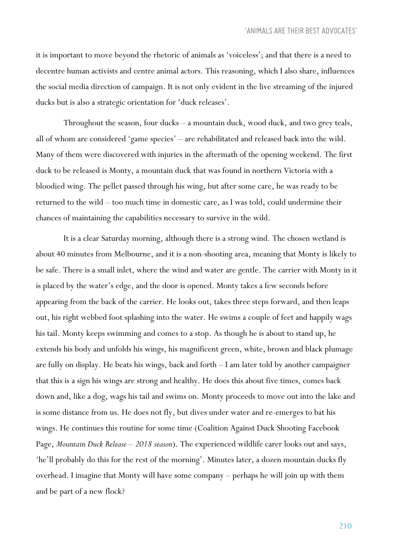it is important to move beyond the rhetoric of animals as 'voiceless'; and that there is a need to decentre human activists and centre animal actors. This reasoning, which I also share, influences the social media direction of campaign. It is not only evident in the live streaming of the injured ducks but is also a strategic orientation for 'duck releases'.

Throughout the season, four ducks – a mountain duck, wood duck, and two grey teals, all of whom are considered 'game species' – are rehabilitated and released back into the wild. Many of them were discovered with injuries in the aftermath of the opening weekend. The first duck to be released is Monty, a mountain duck that was found in northern Victoria with a bloodied wing. The pellet passed through his wing, but after some care, he was ready to be returned to the wild – too much time in domestic care, as I was told, could undermine their chances of maintaining the capabilities necessary to survive in the wild.

It is a clear Saturday morning, although there is a strong wind. The chosen wetland is about 40 minutes from Melbourne, and it is a non-shooting area, meaning that Monty is likely to be safe. There is a small inlet, where the wind and water are gentle. The carrier with Monty in it is placed by the water's edge, and the door is opened. Monty takes a few seconds before appearing from the back of the carrier. He looks out, takes three steps forward, and then leaps out, his right webbed foot splashing into the water. He swims a couple of feet and happily wags his tail. Monty keeps swimming and comes to a stop. As though he is about to stand up, he extends his body and unfolds his wings, his magnificent green, white, brown and black plumage are fully on display. He beats his wings, back and forth – I am later told by another campaigner that this is a sign his wings are strong and healthy. He does this about five times, comes back down and, like a dog, wags his tail and swims on. Monty proceeds to move out into the lake and is some distance from us. He does not fly, but dives under water and re-emerges to bat his wings. He continues this routine for some time (Coalition Against Duck Shooting Facebook Page, *Mountain Duck Release – 2018 season*). The experienced wildlife carer looks out and says, 'he'll probably do this for the rest of the morning'. Minutes later, a dozen mountain ducks fly overhead. I imagine that Monty will have some company – perhaps he will join up with them and be part of a new flock?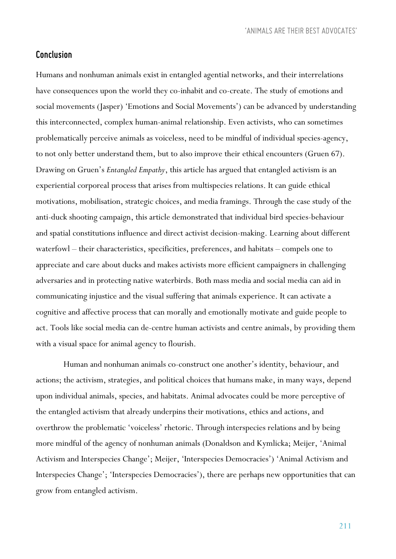*'ANIMALS ARE THEIR BEST ADVOCATES'*

#### *Conclusion*

Humans and nonhuman animals exist in entangled agential networks, and their interrelations have consequences upon the world they co-inhabit and co-create. The study of emotions and social movements (Jasper) 'Emotions and Social Movements') can be advanced by understanding this interconnected, complex human-animal relationship. Even activists, who can sometimes problematically perceive animals as voiceless, need to be mindful of individual species-agency, to not only better understand them, but to also improve their ethical encounters (Gruen 67). Drawing on Gruen's *Entangled Empathy*, this article has argued that entangled activism is an experiential corporeal process that arises from multispecies relations. It can guide ethical motivations, mobilisation, strategic choices, and media framings. Through the case study of the anti-duck shooting campaign, this article demonstrated that individual bird species-behaviour and spatial constitutions influence and direct activist decision-making. Learning about different waterfowl – their characteristics, specificities, preferences, and habitats – compels one to appreciate and care about ducks and makes activists more efficient campaigners in challenging adversaries and in protecting native waterbirds. Both mass media and social media can aid in communicating injustice and the visual suffering that animals experience. It can activate a cognitive and affective process that can morally and emotionally motivate and guide people to act. Tools like social media can de-centre human activists and centre animals, by providing them with a visual space for animal agency to flourish.

Human and nonhuman animals co-construct one another's identity, behaviour, and actions; the activism, strategies, and political choices that humans make, in many ways, depend upon individual animals, species, and habitats. Animal advocates could be more perceptive of the entangled activism that already underpins their motivations, ethics and actions, and overthrow the problematic 'voiceless' rhetoric. Through interspecies relations and by being more mindful of the agency of nonhuman animals (Donaldson and Kymlicka; Meijer, 'Animal Activism and Interspecies Change'; Meijer, 'Interspecies Democracies') 'Animal Activism and Interspecies Change'; 'Interspecies Democracies'), there are perhaps new opportunities that can grow from entangled activism.

211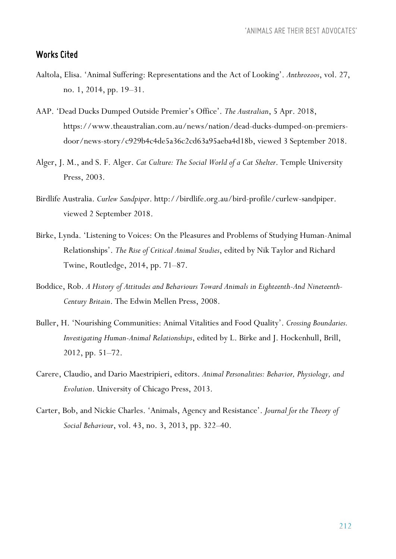## *Works Cited*

- Aaltola, Elisa. 'Animal Suffering: Representations and the Act of Looking'. *Anthrozoos*, vol. 27, no. 1, 2014, pp. 19–31.
- AAP. 'Dead Ducks Dumped Outside Premier's Office'. *The Australian*, 5 Apr. 2018, https://www.theaustralian.com.au/news/nation/dead-ducks-dumped-on-premiersdoor/news-story/c929b4c4de5a36c2cd63a95aeba4d18b, viewed 3 September 2018.
- Alger, J. M., and S. F. Alger. *Cat Culture: The Social World of a Cat Shelter*. Temple University Press, 2003.
- Birdlife Australia. *Curlew Sandpiper*. http://birdlife.org.au/bird-profile/curlew-sandpiper. viewed 2 September 2018.
- Birke, Lynda. 'Listening to Voices: On the Pleasures and Problems of Studying Human-Animal Relationships'. *The Rise of Critical Animal Studies*, edited by Nik Taylor and Richard Twine, Routledge, 2014, pp. 71–87.
- Boddice, Rob. *A History of Attitudes and Behaviours Toward Animals in Eighteenth-And Nineteenth-Century Britain*. The Edwin Mellen Press, 2008.
- Buller, H. 'Nourishing Communities: Animal Vitalities and Food Quality'. *Crossing Boundaries. Investigating Human-Animal Relationships*, edited by L. Birke and J. Hockenhull, Brill, 2012, pp. 51–72.
- Carere, Claudio, and Dario Maestripieri, editors. *Animal Personalities: Behavior, Physiology, and Evolution*. University of Chicago Press, 2013.
- Carter, Bob, and Nickie Charles. 'Animals, Agency and Resistance'. *Journal for the Theory of Social Behaviour*, vol. 43, no. 3, 2013, pp. 322–40.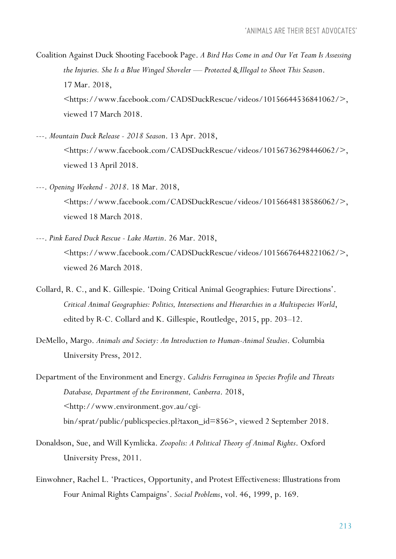Coalition Against Duck Shooting Facebook Page. *A Bird Has Come in and Our Vet Team Is Assessing the Injuries. She Is a Blue Winged Shoveler — Protected & Illegal to Shoot This Season*. 17 Mar. 2018, <https://www.facebook.com/CADSDuckRescue/videos/10156644536841062/>, viewed 17 March 2018.

- ---. *Mountain Duck Release - 2018 Season*. 13 Apr. 2018, <https://www.facebook.com/CADSDuckRescue/videos/10156736298446062/>, viewed 13 April 2018.
- ---. *Opening Weekend - 2018*. 18 Mar. 2018, <https://www.facebook.com/CADSDuckRescue/videos/10156648138586062/>, viewed 18 March 2018.
- ---. *Pink Eared Duck Rescue - Lake Martin*. 26 Mar. 2018, <https://www.facebook.com/CADSDuckRescue/videos/10156676448221062/>, viewed 26 March 2018.
- Collard, R. C., and K. Gillespie. 'Doing Critical Animal Geographies: Future Directions'. *Critical Animal Geographies: Politics, Intersections and Hierarchies in a Multispecies World*, edited by R-C. Collard and K. Gillespie, Routledge, 2015, pp. 203–12.
- DeMello, Margo. *Animals and Society: An Introduction to Human-Animal Studies*. Columbia University Press, 2012.
- Department of the Environment and Energy. *Calidris Ferruginea in Species Profile and Threats Database, Department of the Environment, Canberra*. 2018, <http://www.environment.gov.au/cgibin/sprat/public/publicspecies.pl?taxon\_id=856>, viewed 2 September 2018.
- Donaldson, Sue, and Will Kymlicka. *Zoopolis: A Political Theory of Animal Rights*. Oxford University Press, 2011.
- Einwohner, Rachel L. 'Practices, Opportunity, and Protest Effectiveness: Illustrations from Four Animal Rights Campaigns'. *Social Problems*, vol. 46, 1999, p. 169.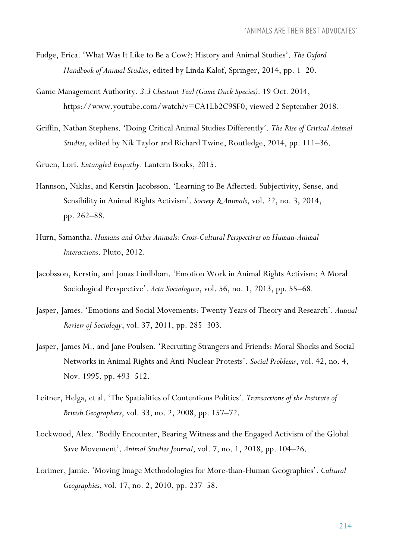- Fudge, Erica. 'What Was It Like to Be a Cow?: History and Animal Studies'. *The Oxford Handbook of Animal Studies*, edited by Linda Kalof, Springer, 2014, pp. 1–20.
- Game Management Authority. *3.3 Chestnut Teal (Game Duck Species)*. 19 Oct. 2014, https://www.youtube.com/watch?v=CA1Lb2C9SF0, viewed 2 September 2018.
- Griffin, Nathan Stephens. 'Doing Critical Animal Studies Differently'. *The Rise of Critical Animal Studies*, edited by Nik Taylor and Richard Twine, Routledge, 2014, pp. 111–36.
- Gruen, Lori. *Entangled Empathy*. Lantern Books, 2015.
- Hannson, Niklas, and Kerstin Jacobsson. 'Learning to Be Affected: Subjectivity, Sense, and Sensibility in Animal Rights Activism'. *Society & Animals*, vol. 22, no. 3, 2014, pp. 262–88.
- Hurn, Samantha. *Humans and Other Animals: Cross-Cultural Perspectives on Human-Animal Interactions*. Pluto, 2012.
- Jacobsson, Kerstin, and Jonas Lindblom. 'Emotion Work in Animal Rights Activism: A Moral Sociological Perspective'. *Acta Sociologica*, vol. 56, no. 1, 2013, pp. 55–68.
- Jasper, James. 'Emotions and Social Movements: Twenty Years of Theory and Research'. *Annual Review of Sociology*, vol. 37, 2011, pp. 285–303.
- Jasper, James M., and Jane Poulsen. 'Recruiting Strangers and Friends: Moral Shocks and Social Networks in Animal Rights and Anti-Nuclear Protests'. *Social Problems*, vol. 42, no. 4, Nov. 1995, pp. 493–512.
- Leitner, Helga, et al. 'The Spatialities of Contentious Politics'. *Transactions of the Institute of British Geographers*, vol. 33, no. 2, 2008, pp. 157–72.
- Lockwood, Alex. 'Bodily Encounter, Bearing Witness and the Engaged Activism of the Global Save Movement'. *Animal Studies Journal*, vol. 7, no. 1, 2018, pp. 104–26.
- Lorimer, Jamie. 'Moving Image Methodologies for More-than-Human Geographies'. *Cultural Geographies*, vol. 17, no. 2, 2010, pp. 237–58.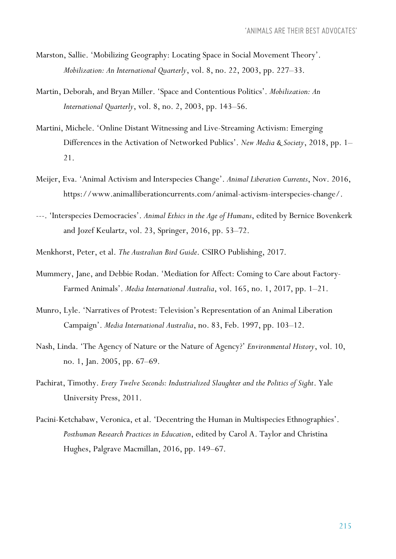- Marston, Sallie. 'Mobilizing Geography: Locating Space in Social Movement Theory'. *Mobilization: An International Quarterly*, vol. 8, no. 22, 2003, pp. 227–33.
- Martin, Deborah, and Bryan Miller. 'Space and Contentious Politics'. *Mobilization: An International Quarterly*, vol. 8, no. 2, 2003, pp. 143–56.
- Martini, Michele. 'Online Distant Witnessing and Live-Streaming Activism: Emerging Differences in the Activation of Networked Publics'. *New Media & Society*, 2018, pp. 1– 21.
- Meijer, Eva. 'Animal Activism and Interspecies Change'. *Animal Liberation Currents*, Nov. 2016, https://www.animalliberationcurrents.com/animal-activism-interspecies-change/.
- ---. 'Interspecies Democracies'. *Animal Ethics in the Age of Humans*, edited by Bernice Bovenkerk and Jozef Keulartz, vol. 23, Springer, 2016, pp. 53–72.
- Menkhorst, Peter, et al. *The Australian Bird Guide*. CSIRO Publishing, 2017.
- Mummery, Jane, and Debbie Rodan. 'Mediation for Affect: Coming to Care about Factory-Farmed Animals'. *Media International Australia*, vol. 165, no. 1, 2017, pp. 1–21.
- Munro, Lyle. 'Narratives of Protest: Television's Representation of an Animal Liberation Campaign'. *Media International Australia*, no. 83, Feb. 1997, pp. 103–12.
- Nash, Linda. 'The Agency of Nature or the Nature of Agency?' *Environmental History*, vol. 10, no. 1, Jan. 2005, pp. 67–69.
- Pachirat, Timothy. *Every Twelve Seconds: Industrialized Slaughter and the Politics of Sight*. Yale University Press, 2011.
- Pacini-Ketchabaw, Veronica, et al. 'Decentring the Human in Multispecies Ethnographies'. *Posthuman Research Practices in Education*, edited by Carol A. Taylor and Christina Hughes, Palgrave Macmillan, 2016, pp. 149–67.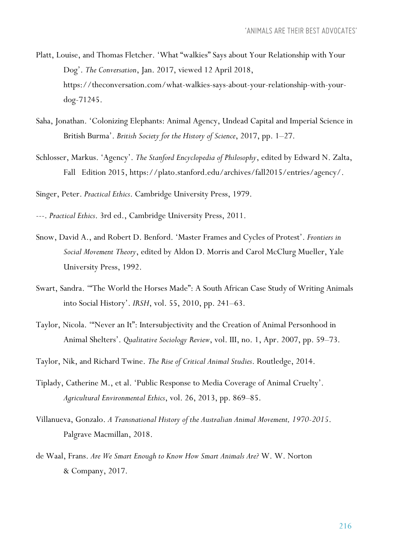- Platt, Louise, and Thomas Fletcher. 'What "walkies" Says about Your Relationship with Your Dog'. *The Conversation*, Jan. 2017, viewed 12 April 2018, https://theconversation.com/what-walkies-says-about-your-relationship-with-yourdog-71245.
- Saha, Jonathan. 'Colonizing Elephants: Animal Agency, Undead Capital and Imperial Science in British Burma'. *British Society for the History of Science*, 2017, pp. 1–27.
- Schlosser, Markus. 'Agency'. *The Stanford Encyclopedia of Philosophy*, edited by Edward N. Zalta, Fall Edition 2015, https://plato.stanford.edu/archives/fall2015/entries/agency/.

Singer, Peter. *Practical Ethics*. Cambridge University Press, 1979.

- ---. *Practical Ethics*. 3rd ed., Cambridge University Press, 2011.
- Snow, David A., and Robert D. Benford. 'Master Frames and Cycles of Protest'. *Frontiers in Social Movement Theory*, edited by Aldon D. Morris and Carol McClurg Mueller, Yale University Press, 1992.
- Swart, Sandra. '"The World the Horses Made": A South African Case Study of Writing Animals into Social History'. *IRSH*, vol. 55, 2010, pp. 241–63.
- Taylor, Nicola. '"Never an It": Intersubjectivity and the Creation of Animal Personhood in Animal Shelters'. *Qualitative Sociology Review*, vol. III, no. 1, Apr. 2007, pp. 59–73.
- Taylor, Nik, and Richard Twine. *The Rise of Critical Animal Studies*. Routledge, 2014.
- Tiplady, Catherine M., et al. 'Public Response to Media Coverage of Animal Cruelty'. *Agricultural Environmental Ethics*, vol. 26, 2013, pp. 869–85.
- Villanueva, Gonzalo. *A Transnational History of the Australian Animal Movement, 1970-2015*. Palgrave Macmillan, 2018.
- de Waal, Frans. *Are We Smart Enough to Know How Smart Animals Are?* W. W. Norton & Company, 2017.